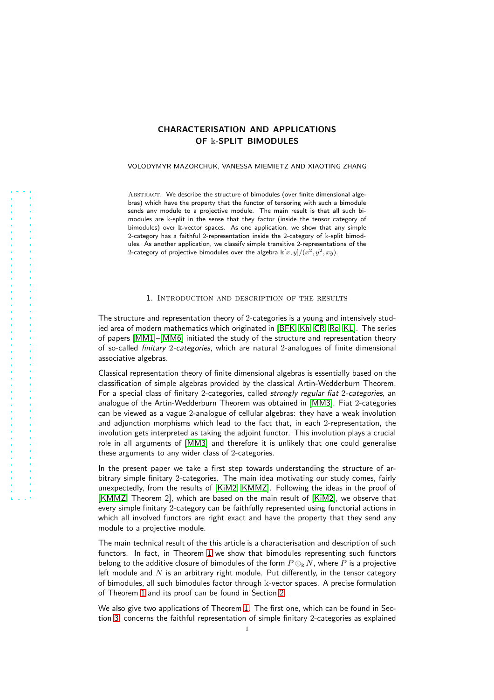# CHARACTERISATION AND APPLICATIONS OF k-SPLIT BIMODULES

## VOLODYMYR MAZORCHUK, VANESSA MIEMIETZ AND XIAOTING ZHANG

ABSTRACT. We describe the structure of bimodules (over finite dimensional algebras) which have the property that the functor of tensoring with such a bimodule sends any module to a projective module. The main result is that all such bimodules are k-split in the sense that they factor (inside the tensor category of bimodules) over k-vector spaces. As one application, we show that any simple 2-category has a faithful 2-representation inside the 2-category of  $k$ -split bimodules. As another application, we classify simple transitive 2-representations of the 2-category of projective bimodules over the algebra  $\Bbbk [x,y]/(x^2,y^2,xy)$ .

## 1. Introduction and description of the results

The structure and representation theory of 2-categories is a young and intensively studied area of modern mathematics which originated in [\[BFK,](#page-11-0) [Kh,](#page-11-1) [CR,](#page-11-2) [Ro,](#page-12-0) [KL\]](#page-11-3). The series of papers [\[MM1\]](#page-11-4)–[\[MM6\]](#page-12-1) initiated the study of the structure and representation theory of so-called finitary 2-categories, which are natural 2-analogues of finite dimensional associative algebras.

Classical representation theory of finite dimensional algebras is essentially based on the classification of simple algebras provided by the classical Artin-Wedderburn Theorem. For a special class of finitary 2-categories, called *strongly regular fiat 2-categories*, an analogue of the Artin-Wedderburn Theorem was obtained in [\[MM3\]](#page-11-5). Fiat 2-categories can be viewed as a vague 2-analogue of cellular algebras: they have a weak involution and adjunction morphisms which lead to the fact that, in each 2-representation, the involution gets interpreted as taking the adjoint functor. This involution plays a crucial role in all arguments of [\[MM3\]](#page-11-5) and therefore it is unlikely that one could generalise these arguments to any wider class of 2-categories.

In the present paper we take a first step towards understanding the structure of arbitrary simple finitary 2-categories. The main idea motivating our study comes, fairly unexpectedly, from the results of [\[KiM2,](#page-11-6) [KMMZ\]](#page-11-7). Following the ideas in the proof of [\[KMMZ,](#page-11-7) Theorem 2], which are based on the main result of [\[KiM2\]](#page-11-6), we observe that every simple finitary 2-category can be faithfully represented using functorial actions in which all involved functors are right exact and have the property that they send any module to a projective module.

The main technical result of the this article is a characterisation and description of such functors. In fact, in Theorem [1](#page-1-0) we show that bimodules representing such functors belong to the additive closure of bimodules of the form  $P \otimes_k N$ , where P is a projective left module and  $N$  is an arbitrary right module. Put differently, in the tensor category of bimodules, all such bimodules factor through k-vector spaces. A precise formulation of Theorem [1](#page-1-0) and its proof can be found in Section [2.](#page-1-1)

We also give two applications of Theorem [1.](#page-1-0) The first one, which can be found in Section [3,](#page-3-0) concerns the faithful representation of simple finitary 2-categories as explained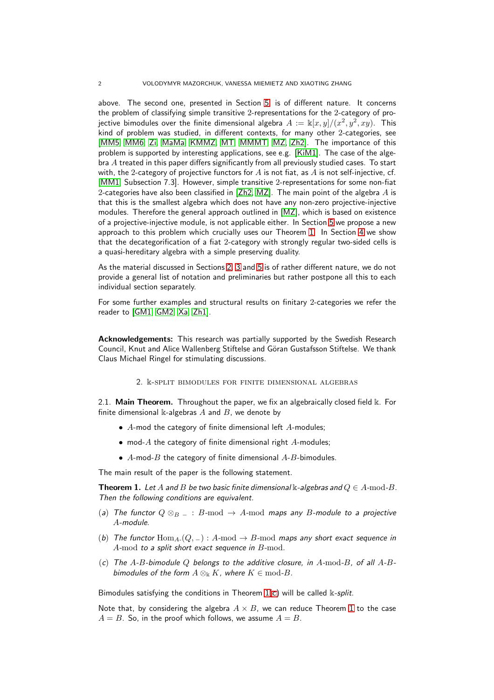above. The second one, presented in Section [5,](#page-8-0) is of different nature. It concerns the problem of classifying simple transitive 2-representations for the 2-category of projective bimodules over the finite dimensional algebra  $A:=\Bbbk [x,y]/(x^2,y^2,xy).$  This kind of problem was studied, in different contexts, for many other 2-categories, see [\[MM5,](#page-12-2) [MM6,](#page-12-1) [Zi,](#page-12-3) [MaMa,](#page-11-8) [KMMZ,](#page-11-7) [MT,](#page-11-9) [MMMT,](#page-11-10) [MZ,](#page-12-4) [Zh2\]](#page-12-5). The importance of this problem is supported by interesting applications, see e.g. [\[KiM1\]](#page-11-11). The case of the algebra A treated in this paper differs significantly from all previously studied cases. To start with, the 2-category of projective functors for A is not fiat, as A is not self-injective, cf. [\[MM1,](#page-11-4) Subsection 7.3]. However, simple transitive 2-representations for some non-fiat 2-categories have also been classified in [\[Zh2,](#page-12-5) [MZ\]](#page-12-4). The main point of the algebra  $A$  is that this is the smallest algebra which does not have any non-zero projective-injective modules. Therefore the general approach outlined in [\[MZ\]](#page-12-4), which is based on existence of a projective-injective module, is not applicable either. In Section [5](#page-8-0) we propose a new approach to this problem which crucially uses our Theorem [1.](#page-1-0) In Section [4](#page-7-0) we show that the decategorification of a fiat 2-category with strongly regular two-sided cells is a quasi-hereditary algebra with a simple preserving duality.

As the material discussed in Sections [2,](#page-1-1) [3](#page-3-0) and [5](#page-8-0) is of rather different nature, we do not provide a general list of notation and preliminaries but rather postpone all this to each individual section separately.

For some further examples and structural results on finitary 2-categories we refer the reader to [\[GM1,](#page-11-12) [GM2,](#page-11-13) [Xa,](#page-12-6) [Zh1\]](#page-12-7).

<span id="page-1-1"></span>Acknowledgements: This research was partially supported by the Swedish Research Council, Knut and Alice Wallenberg Stiftelse and Göran Gustafsson Stiftelse. We thank Claus Michael Ringel for stimulating discussions.

2. k-split bimodules for finite dimensional algebras

2.1. Main Theorem. Throughout the paper, we fix an algebraically closed field  $\Bbbk$ . For finite dimensional  $\Bbbk$ -algebras  $A$  and  $B$ , we denote by

- $\bullet$  A-mod the category of finite dimensional left A-modules;
- mod- $A$  the category of finite dimensional right  $A$ -modules;
- $A$ -mod- $B$  the category of finite dimensional  $A$ - $B$ -bimodules.

The main result of the paper is the following statement.

<span id="page-1-3"></span><span id="page-1-0"></span>**Theorem 1.** Let A and B be two basic finite dimensional k-algebras and  $Q \in A$ -mod-B. Then the following conditions are equivalent.

- <span id="page-1-4"></span>(a) The functor  $Q \otimes_{B} \_ : B\text{-mod} \to A\text{-mod maps}$  any B-module to a projective A-module.
- <span id="page-1-2"></span>(b) The functor  $\text{Hom}_{A_2}(Q, \_) : A\text{-mod} \to B\text{-mod maps}$  any short exact sequence in A-mod to a split short exact sequence in B-mod.
- (c) The A-B-bimodule Q belongs to the additive closure, in  $A$ -mod-B, of all  $A$ -Bbimodules of the form  $A \otimes_{\mathbb{k}} K$ , where  $K \in \text{mod-}B$ .

Bimodules satisfying the conditions in Theorem  $1(c)$  $1(c)$  will be called  $k$ -split.

Note that, by considering the algebra  $A \times B$ , we can reduce Theorem [1](#page-1-0) to the case  $A = B$ . So, in the proof which follows, we assume  $A = B$ .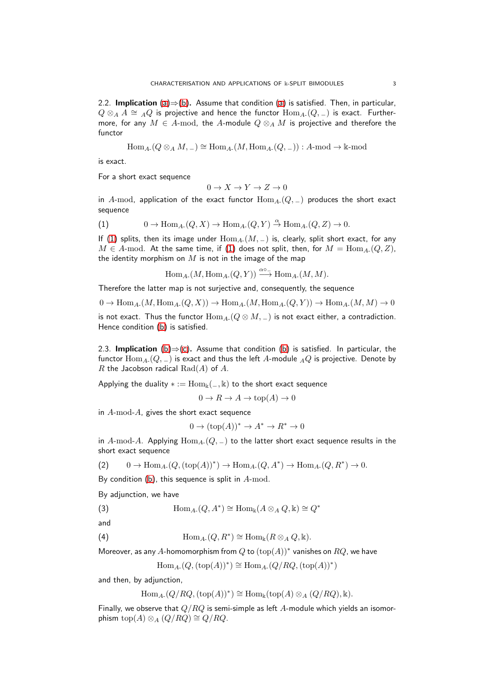2.2. Implication  $(a) \Rightarrow (b)$  $(a) \Rightarrow (b)$  $(a) \Rightarrow (b)$ . Assume that condition  $(a)$  is satisfied. Then, in particular,  $Q \otimes_A A \cong {}_A Q$  is projective and hence the functor  $\text{Hom}_{A-}(Q, \_)$  is exact. Furthermore, for any  $M \in A$ -mod, the A-module  $Q \otimes_A M$  is projective and therefore the functor

$$
\operatorname{Hom}_{A^\centerdot}(Q \otimes_A M, \_) \cong \operatorname{Hom}_{A^\centerdot}(M, \operatorname{Hom}_{A^\centerdot}(Q, \_)) : A\text{-mod} \to \Bbbk\text{-mod}
$$

is exact.

For a short exact sequence

 $0 \to X \to Y \to Z \to 0$ 

in A-mod, application of the exact functor  $\text{Hom}_{A-}(Q, \_)$  produces the short exact sequence

<span id="page-2-0"></span>(1) 
$$
0 \to \text{Hom}_{A} (Q, X) \to \text{Hom}_{A} (Q, Y) \stackrel{\alpha}{\to} \text{Hom}_{A} (Q, Z) \to 0.
$$

If [\(1\)](#page-2-0) splits, then its image under  $\text{Hom}_{A-}(M, \_)$  is, clearly, split short exact, for any  $M \in A$ -mod. At the same time, if [\(1\)](#page-2-0) does not split, then, for  $M = \text{Hom}_{A}$ - $(Q, Z)$ , the identity morphism on  $M$  is not in the image of the map

 $\text{Hom}_{A_{-}}(M, \text{Hom}_{A_{-}}(Q, Y)) \xrightarrow{\alpha_{0-}} \text{Hom}_{A_{-}}(M, M).$ 

Therefore the latter map is not surjective and, consequently, the sequence

 $0 \to \text{Hom}_{A_1}(M, \text{Hom}_{A_2}(Q, X)) \to \text{Hom}_{A_2}(M, \text{Hom}_{A_2}(Q, Y)) \to \text{Hom}_{A_2}(M, M) \to 0$ 

is not exact. Thus the functor  $\text{Hom}_{A-}(Q \otimes M, \_)$  is not exact either, a contradiction. Hence condition [\(b\)](#page-1-4) is satisfied.

2.3. Implication [\(b\)](#page-1-4) $\Rightarrow$ [\(c\)](#page-1-2). Assume that condition [\(b\)](#page-1-4) is satisfied. In particular, the functor  $\text{Hom}_{A-}(Q, \_)$  is exact and thus the left A-module  $_AQ$  is projective. Denote by R the Jacobson radical  $Rad(A)$  of A.

Applying the duality  $* := \text{Hom}_{\mathbb{k}}(-, \mathbb{k})$  to the short exact sequence

$$
0 \to R \to A \to \text{top}(A) \to 0
$$

in A-mod-A, gives the short exact sequence

 $0 \to (\text{top}(A))^* \to A^* \to R^* \to 0$ 

in A-mod-A. Applying  $\text{Hom}_{A-}(Q, \_)$  to the latter short exact sequence results in the short exact sequence

<span id="page-2-1"></span>(2)  $0 \to \text{Hom}_{A} (Q, (\text{top}(A))^*) \to \text{Hom}_{A} (Q, A^*) \to \text{Hom}_{A} (Q, R^*) \to 0.$ 

By condition [\(b\)](#page-1-4), this sequence is split in  $A$ -mod.

By adjunction, we have

(3) 
$$
\text{Hom}_{A} (Q, A^*) \cong \text{Hom}_{\mathbb{k}} (A \otimes_A Q, \mathbb{k}) \cong Q^*
$$

$$
\quad \text{and} \quad \quad
$$

(4)  $\text{Hom}_{A} (Q, R^*) \cong \text{Hom}_{\mathbb{k}} (R \otimes_A Q, \mathbb{k}).$ 

Moreover, as any  $A$ -homomorphism from  $Q$  to  $(\mathrm{top}(A))^*$  vanishes on  $RQ$ , we have

<span id="page-2-3"></span><span id="page-2-2"></span>
$$
\operatorname{Hom}_{A} (Q, (\operatorname{top}(A))^*) \cong \operatorname{Hom}_{A} (Q/RQ, (\operatorname{top}(A))^*)
$$

and then, by adjunction,

$$
\operatorname{Hom}_{A} (Q/RQ, (\operatorname{top}(A))^*) \cong \operatorname{Hom}_{\mathbb{k}}(\operatorname{top}(A) \otimes_A (Q/RQ), \mathbb{k}).
$$

Finally, we observe that  $Q/RQ$  is semi-simple as left A-module which yields an isomorphism top(A) ⊗<sub>A</sub> ( $Q/RQ$ ) ≅  $Q/RQ$ .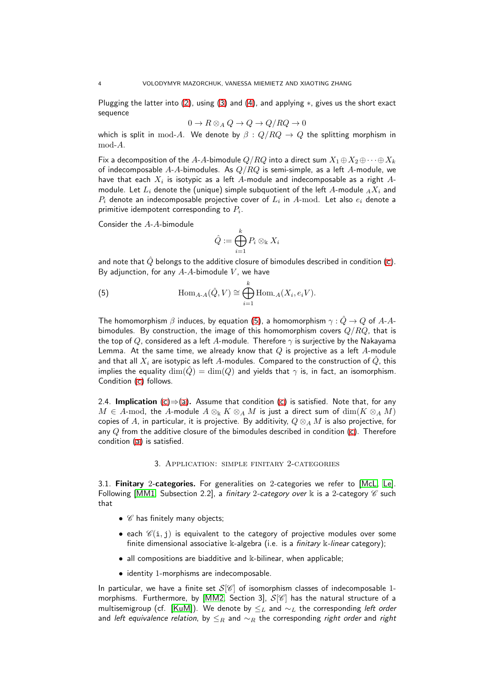Plugging the latter into [\(2\)](#page-2-1), using [\(3\)](#page-2-2) and [\(4\)](#page-2-3), and applying  $*$ , gives us the short exact sequence

$$
0 \to R \otimes_A Q \to Q \to Q/RQ \to 0
$$

which is split in mod-A. We denote by  $\beta$  :  $Q/RQ \rightarrow Q$  the splitting morphism in mod-A.

Fix a decomposition of the A-A-bimodule  $Q/RQ$  into a direct sum  $X_1 \oplus X_2 \oplus \cdots \oplus X_k$ of indecomposable A-A-bimodules. As  $Q/RQ$  is semi-simple, as a left A-module, we have that each  $X_i$  is isotypic as a left  $A$ -module and indecomposable as a right  $A\text{-}$ module. Let  $L_i$  denote the (unique) simple subquotient of the left A-module  $_A X_i$  and  $P_i$  denote an indecomposable projective cover of  $L_i$  in  $A\operatorname{\!-mod}_{\!\!-}$  Let also  $e_i$  denote a primitive idempotent corresponding to  $P_i$ .

Consider the A-A-bimodule

<span id="page-3-1"></span>
$$
\hat{Q}:=\bigoplus_{i=1}^k P_i\otimes_{\Bbbk} X_i
$$

and note that  $\hat{O}$  belongs to the additive closure of bimodules described in condition [\(c\)](#page-1-2). By adjunction, for any  $A-A$ -bimodule  $V$ , we have

(5) 
$$
\operatorname{Hom}_{A\text{-}A}(\hat{Q},V) \cong \bigoplus_{i=1}^k \operatorname{Hom}_{A}(X_i,e_iV).
$$

The homomorphism  $\beta$  induces, by equation [\(5\)](#page-3-1), a homomorphism  $\gamma : \hat{Q} \to Q$  of A-Abimodules. By construction, the image of this homomorphism covers  $Q/RQ$ , that is the top of Q, considered as a left A-module. Therefore  $\gamma$  is surjective by the Nakayama Lemma. At the same time, we already know that  $Q$  is projective as a left  $A$ -module and that all  $X_i$  are isotypic as left A-modules. Compared to the construction of  $\hat{Q}$ , this implies the equality  $\dim(\hat{Q}) = \dim(Q)$  and yields that  $\gamma$  is, in fact, an isomorphism. Condition [\(c\)](#page-1-2) follows.

2.4. Implication [\(c\)](#page-1-2) $\Rightarrow$ [\(a\)](#page-1-3). Assume that condition [\(c\)](#page-1-2) is satisfied. Note that, for any  $M \in A$ -mod, the A-module  $A \otimes_k K \otimes_A M$  is just a direct sum of  $\dim(K \otimes_A M)$ copies of A, in particular, it is projective. By additivity,  $Q \otimes_A M$  is also projective, for any  $Q$  from the additive closure of the bimodules described in condition [\(c\)](#page-1-2). Therefore condition [\(a\)](#page-1-3) is satisfied.

### 3. Application: simple finitary 2-categories

<span id="page-3-0"></span>3.1. Finitary 2-categories. For generalities on 2-categories we refer to [\[McL,](#page-11-14) [Le\]](#page-11-15). Following [\[MM1,](#page-11-4) Subsection 2.2], a finitary 2-category over  $\Bbbk$  is a 2-category  $\mathscr C$  such that

- $\mathscr C$  has finitely many objects;
- each  $\mathscr{C}(i, j)$  is equivalent to the category of projective modules over some finite dimensional associative  $\&$ -algebra (i.e. is a *finitary*  $\&$ -linear category);
- all compositions are biadditive and k-bilinear, when applicable;
- identity 1-morphisms are indecomposable.

In particular, we have a finite set  $S[\mathscr{C}]$  of isomorphism classes of indecomposable 1-morphisms. Furthermore, by [\[MM2,](#page-11-16) Section 3],  $S[\mathscr{C}]$  has the natural structure of a multisemigroup (cf. [\[KuM\]](#page-11-17)). We denote by  $\leq_L$  and  $\sim_L$  the corresponding left order and left equivalence relation, by  $\leq_R$  and  $\sim_R$  the corresponding right order and right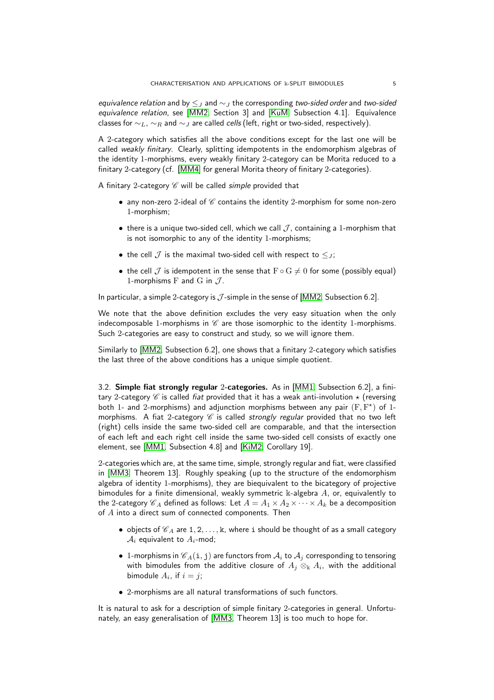equivalence relation and by  $\leq_J$  and  $\sim_J$  the corresponding two-sided order and two-sided equivalence relation, see [\[MM2,](#page-11-16) Section 3] and [\[KuM,](#page-11-17) Subsection 4.1]. Equivalence classes for  $\sim_L$ ,  $\sim_R$  and  $\sim_J$  are called *cells* (left, right or two-sided, respectively).

A 2-category which satisfies all the above conditions except for the last one will be called weakly finitary. Clearly, splitting idempotents in the endomorphism algebras of the identity 1-morphisms, every weakly finitary 2-category can be Morita reduced to a finitary 2-category (cf. [\[MM4\]](#page-11-18) for general Morita theory of finitary 2-categories).

A finitary 2-category  $\mathscr C$  will be called simple provided that

- any non-zero 2-ideal of  $\mathscr C$  contains the identity 2-morphism for some non-zero 1-morphism;
- there is a unique two-sided cell, which we call  $\mathcal{J}$ , containing a 1-morphism that is not isomorphic to any of the identity 1-morphisms;
- the cell  $\mathcal J$  is the maximal two-sided cell with respect to  $\leq_{J}$ ;
- the cell  $\mathcal J$  is idempotent in the sense that  $F \circ G \neq 0$  for some (possibly equal) 1-morphisms  $F$  and  $G$  in  $J$ .

In particular, a simple 2-category is  $J$ -simple in the sense of [\[MM2,](#page-11-16) Subsection 6.2].

We note that the above definition excludes the very easy situation when the only indecomposable 1-morphisms in  $\mathscr C$  are those isomorphic to the identity 1-morphisms. Such 2-categories are easy to construct and study, so we will ignore them.

Similarly to [\[MM2,](#page-11-16) Subsection 6.2], one shows that a finitary 2-category which satisfies the last three of the above conditions has a unique simple quotient.

3.2. Simple fiat strongly regular 2-categories. As in [\[MM1,](#page-11-4) Subsection 6.2], a finitary 2-category C is called fiat provided that it has a weak anti-involution  $\star$  (reversing both 1- and 2-morphisms) and adjunction morphisms between any pair  $(F, F^*)$  of 1morphisms. A fiat 2-category  $C$  is called strongly regular provided that no two left (right) cells inside the same two-sided cell are comparable, and that the intersection of each left and each right cell inside the same two-sided cell consists of exactly one element, see [\[MM1,](#page-11-4) Subsection 4.8] and [\[KiM2,](#page-11-6) Corollary 19].

2-categories which are, at the same time, simple, strongly regular and fiat, were classified in [\[MM3,](#page-11-5) Theorem 13]. Roughly speaking (up to the structure of the endomorphism algebra of identity 1-morphisms), they are biequivalent to the bicategory of projective bimodules for a finite dimensional, weakly symmetric  $\Bbbk$ -algebra  $A$ , or, equivalently to the 2-category  $\mathcal{C}_A$  defined as follows: Let  $A = A_1 \times A_2 \times \cdots \times A_k$  be a decomposition of  $A$  into a direct sum of connected components. Then

- objects of  $\mathscr{C}_A$  are 1, 2, ..., k, where i should be thought of as a small category  $A_i$  equivalent to  $A_i$ -mod;
- 1-morphisms in  $\mathscr{C}_A(i, j)$  are functors from  $\mathcal{A}_i$  to  $\mathcal{A}_j$  corresponding to tensoring with bimodules from the additive closure of  $A_j\otimes_{\Bbbk} A_i$ , with the additional bimodule  $A_i$ , if  $i = j$ ;
- 2-morphisms are all natural transformations of such functors.

It is natural to ask for a description of simple finitary 2-categories in general. Unfortunately, an easy generalisation of [\[MM3,](#page-11-5) Theorem 13] is too much to hope for.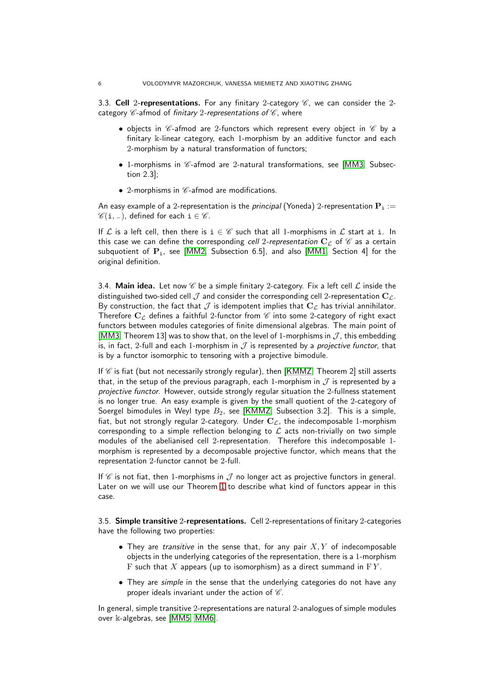3.3. Cell 2-representations. For any finitary 2-category  $\mathscr{C}$ , we can consider the 2category  $\mathscr C$ -afmod of finitary 2-representations of  $\mathscr C$ , where

- objects in  $\mathscr C$ -afmod are 2-functors which represent every object in  $\mathscr C$  by a finitary k-linear category, each 1-morphism by an additive functor and each 2-morphism by a natural transformation of functors;
- $\bullet$  1-morphisms in  $\mathscr C$ -afmod are 2-natural transformations, see [\[MM3,](#page-11-5) Subsection 2.3];
- $\bullet$  2-morphisms in  $\mathscr C$ -afmod are modifications.

An easy example of a 2-representation is the *principal* (Yoneda) 2-representation  $P_i :=$  $\mathscr{C}(\mathbf{i},\_)$ , defined for each  $\mathbf{i} \in \mathscr{C}$ .

If  $\mathcal L$  is a left cell, then there is  $i \in \mathscr C$  such that all 1-morphisms in  $\mathcal L$  start at i. In this case we can define the corresponding cell 2-representation  $C_{\mathcal{L}}$  of  $\mathcal{C}$  as a certain subquotient of  $P_i$ , see [\[MM2,](#page-11-16) Subsection 6.5], and also [\[MM1,](#page-11-4) Section 4] for the original definition.

3.4. Main idea. Let now  $\mathscr C$  be a simple finitary 2-category. Fix a left cell  $\mathscr L$  inside the distinguished two-sided cell  $\cal J$  and consider the corresponding cell 2-representation  $C_{\cal L}$ . By construction, the fact that  $\mathcal J$  is idempotent implies that  $\mathbf{C}_{\mathcal L}$  has trivial annihilator. Therefore  $C_c$  defines a faithful 2-functor from  $\mathscr C$  into some 2-category of right exact functors between modules categories of finite dimensional algebras. The main point of [\[MM3,](#page-11-5) Theorem 13] was to show that, on the level of 1-morphisms in  $\mathcal{J}$ , this embedding is, in fact, 2-full and each 1-morphism in  $\mathcal J$  is represented by a *projective functor*, that is by a functor isomorphic to tensoring with a projective bimodule.

If  $\mathscr C$  is fiat (but not necessarily strongly regular), then [\[KMMZ,](#page-11-7) Theorem 2] still asserts that, in the setup of the previous paragraph, each 1-morphism in  $\mathcal J$  is represented by a projective functor. However, outside strongly regular situation the 2-fullness statement is no longer true. An easy example is given by the small quotient of the 2-category of Soergel bimodules in Weyl type  $B_2$ , see [\[KMMZ,](#page-11-7) Subsection 3.2]. This is a simple, fiat, but not strongly regular 2-category. Under  $C_{\mathcal{L}}$ , the indecomposable 1-morphism corresponding to a simple reflection belonging to  $\mathcal L$  acts non-trivially on two simple modules of the abelianised cell 2-representation. Therefore this indecomposable 1 morphism is represented by a decomposable projective functor, which means that the representation 2-functor cannot be 2-full.

If  $\mathscr C$  is not fiat, then 1-morphisms in  $\mathcal J$  no longer act as projective functors in general. Later on we will use our Theorem [1](#page-1-0) to describe what kind of functors appear in this case.

3.5. Simple transitive 2-representations. Cell 2-representations of finitary 2-categories have the following two properties:

- They are *transitive* in the sense that, for any pair  $X, Y$  of indecomposable objects in the underlying categories of the representation, there is a 1-morphism F such that  $X$  appears (up to isomorphism) as a direct summand in  $FY$ .
- They are *simple* in the sense that the underlying categories do not have any proper ideals invariant under the action of  $\mathscr C$ .

In general, simple transitive 2-representations are natural 2-analogues of simple modules over k-algebras, see [\[MM5,](#page-12-2) [MM6\]](#page-12-1).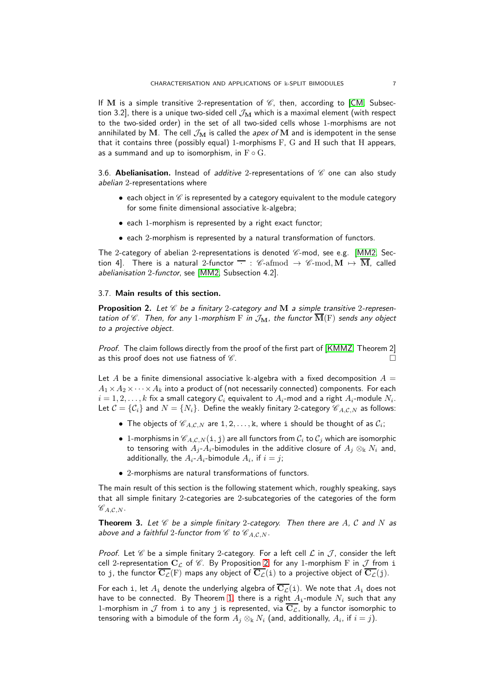If M is a simple transitive 2-representation of  $\mathscr C$ , then, according to [\[CM,](#page-11-19) Subsection 3.2], there is a unique two-sided cell  $\mathcal{J}_{\mathbf{M}}$  which is a maximal element (with respect to the two-sided order) in the set of all two-sided cells whose 1-morphisms are not annihilated by M. The cell  $\mathcal{J}_{\mathbf{M}}$  is called the apex of M and is idempotent in the sense that it contains three (possibly equal) 1-morphisms  $F$ ,  $G$  and  $H$  such that  $H$  appears, as a summand and up to isomorphism, in  $F \circ G$ .

3.6. Abelianisation. Instead of additive 2-representations of  $\mathscr C$  one can also study abelian 2-representations where

- each object in  $\mathscr C$  is represented by a category equivalent to the module category for some finite dimensional associative  $\Bbbk$ -algebra;
- each 1-morphism is represented by a right exact functor;
- each 2-morphism is represented by a natural transformation of functors.

The 2-category of abelian 2-representations is denoted  $\mathscr{C}\text{-mod}$ , see e.g. [\[MM2,](#page-11-16) Section 4]. There is a natural 2-functor  $\overline{\cdot}$  : C-afmod  $\rightarrow$  C-mod,  $M \mapsto \overline{M}$ , called abelianisation 2-functor, see [\[MM2,](#page-11-16) Subsection 4.2].

#### <span id="page-6-2"></span>3.7. Main results of this section.

<span id="page-6-0"></span>**Proposition 2.** Let  $\mathscr C$  be a finitary 2-category and M a simple transitive 2-representation of  $\mathscr C$ . Then, for any 1-morphism  $\mathrm F$  in  $\mathcal J_{\mathbf{M}}$ , the functor  $\overline{\mathbf{M}}(\mathrm F)$  sends any object to a projective object.

Proof. The claim follows directly from the proof of the first part of [\[KMMZ,](#page-11-7) Theorem 2] as this proof does not use fiatness of  $\mathscr C$ .

Let A be a finite dimensional associative k-algebra with a fixed decomposition  $A =$  $A_1 \times A_2 \times \cdots \times A_k$  into a product of (not necessarily connected) components. For each  $i=1,2,\ldots,k$  fix a small category  $\mathcal{C}_i$  equivalent to  $A_i$ -mod and a right  $A_i$ -module  $N_i.$ Let  $C = \{C_i\}$  and  $N = \{N_i\}$ . Define the weakly finitary 2-category  $C_{A,C,N}$  as follows:

- The objects of  $\mathscr{C}_{A,C,N}$  are  $1,2,\ldots,k$ , where i should be thought of as  $\mathcal{C}_i$ ;
- 1-morphisms in  $\mathscr{C}_{A,C,N}(\textbf{i},\textbf{j})$  are all functors from  $\mathcal{C}_i$  to  $\mathcal{C}_j$  which are isomorphic to tensoring with  $A_j$ - $A_i$ -bimodules in the additive closure of  $A_j \otimes_k N_i$  and, additionally, the  $A_i$ - $A_i$ -bimodule  $A_i$ , if  $i=j;$
- 2-morphisms are natural transformations of functors.

The main result of this section is the following statement which, roughly speaking, says that all simple finitary 2-categories are 2-subcategories of the categories of the form  $\mathscr{C}_{A,C,N}.$ 

<span id="page-6-1"></span>**Theorem 3.** Let  $\mathscr C$  be a simple finitary 2-category. Then there are A, C and N as above and a faithful 2-functor from  $\mathscr C$  to  $\mathscr C_{A,C,N}$ .

Proof. Let  $\mathscr C$  be a simple finitary 2-category. For a left cell  $\mathcal L$  in  $\mathcal J$ , consider the left cell 2-representation  $C_{\mathcal{L}}$  of  $\mathcal{C}$ . By Proposition [2,](#page-6-0) for any 1-morphism F in  $\mathcal{J}$  from i to j, the functor  $\overline{C_{\mathcal{L}}}(F)$  maps any object of  $\overline{C_{\mathcal{L}}}(i)$  to a projective object of  $\overline{C_{\mathcal{L}}}(j)$ .

For each i, let  $A_i$  denote the underlying algebra of  $\overline{C_{\mathcal{L}}}(i)$ . We note that  $A_i$  does not have to be connected. By Theorem [1,](#page-1-0) there is a right  $A_i$ -module  $N_i$  such that any 1-morphism in  $\cal J$  from  $\,$  to any  $\,$  is represented, via  $\overline{{\rm C}_L}$ , by a functor isomorphic to tensoring with a bimodule of the form  $A_j\otimes_\Bbbk N_i$  (and, additionally,  $A_i$ , if  $i=j).$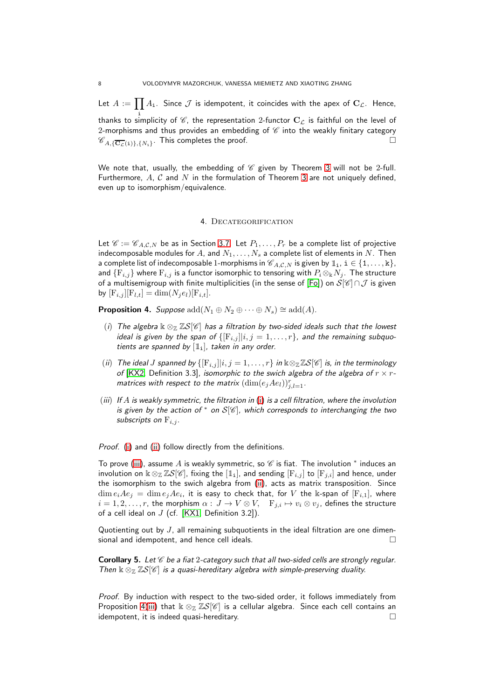Let  $A:=\prod A_{\mathtt{i}}.$  Since  $\mathcal J$  is idempotent, it coincides with the apex of  ${\mathbf C}_\mathcal L.$  Hence, i thanks to simplicity of  $\mathscr{C}$ , the representation 2-functor  $C_{\mathcal{L}}$  is faithful on the level of 2-morphisms and thus provides an embedding of  $\mathscr C$  into the weakly finitary category  $\mathscr{C}_{A,\{\overline{\mathbf{C}_{\mathcal{L}}}(i)\},\{N_i\}}$ . This completes the proof.

We note that, usually, the embedding of  $\mathscr C$  given by Theorem [3](#page-6-1) will not be 2-full. Furthermore, A, C and N in the formulation of Theorem [3](#page-6-1) are not uniquely defined, even up to isomorphism/equivalence.

## 4. DECATEGORIFICATION

<span id="page-7-0"></span>Let  $\mathscr{C} := \mathscr{C}_{A,C,N}$  be as in Section [3.7.](#page-6-2) Let  $P_1, \ldots, P_r$  be a complete list of projective indecomposable modules for A, and  $N_1, \ldots, N_s$  a complete list of elements in N. Then a complete list of indecomposable 1-morphisms in  $\mathscr{C}_{A,C,N}$  is given by  $\mathbb{1}_i$ ,  $i \in \{1,\ldots,k\}$ , and  $\{F_{i,j}\}$  where  $F_{i,j}$  is a functor isomorphic to tensoring with  $P_i \otimes_k N_j$ . The structure of a multisemigroup with finite multiplicities (in the sense of [\[Fo\]](#page-11-20)) on  $\check{\mathcal{S}}[\mathscr{C}]\cap\mathcal{J}$  is given by  $[F_{i,j}][F_{l,t}] = \dim(N_i e_l)[F_{i,t}].$ 

<span id="page-7-4"></span><span id="page-7-1"></span>**Proposition 4.** Suppose  $\text{add}(N_1 \oplus N_2 \oplus \cdots \oplus N_s) \cong \text{add}(A)$ .

- (i) The algebra  $\& \otimes_{\mathbb{Z}} \mathbb{Z} S[\mathscr{C}]$  has a filtration by two-sided ideals such that the lowest ideal is given by the span of  $\{[F_{i,j}]\}_{i,j}=1,\ldots,r\}$ , and the remaining subquotients are spanned by  $[\mathbb{1}_1]$ , taken in any order.
- <span id="page-7-2"></span>(ii) The ideal J spanned by  $\{[F_{i,j}][i,j=1,\ldots,r\}$  in  $\Bbbk\otimes_{\Bbb Z}\Bbb ZS[\mathscr C]$  is, in the terminology of [\[KX2,](#page-11-21) Definition 3.3], isomorphic to the swich algebra of the algebra of  $r \times r$ matrices with respect to the matrix  $(\dim(e_jAe_l))_{j,l=1}^r$ .
- <span id="page-7-3"></span>(iii) If A is weakly symmetric, the filtration in [\(i\)](#page-7-1) is a cell filtration, where the involution is given by the action of  $*$  on  $S[\mathscr{C}]$ , which corresponds to interchanging the two subscripts on  $F_{i,j}$ .

Proof. [\(i\)](#page-7-1) and [\(ii\)](#page-7-2) follow directly from the definitions.

To prove [\(iii\)](#page-7-3), assume  $A$  is weakly symmetric, so  $\operatorname{\mathscr{C}}$  is fiat. The involution  $^*$  induces an involution on  $\Bbbk \otimes_{\Bbb Z} \Bbb Z S[\mathscr{C}]$ , fixing the  $[\Bbb 1_i]$ , and sending  $[F_{i,j}]$  to  $[F_{j,i}]$  and hence, under the isomorphism to the swich algebra from [\(ii\)](#page-7-2), acts as matrix transposition. Since  $\dim e_iAe_j\,=\,\dim e_jAe_i$ , it is easy to check that, for  $V$  the  $\Bbbk$ -span of  $[{\rm F}_{i,1}]$ , where  $i = 1, 2, \ldots, r$ , the morphism  $\alpha : J \to V \otimes V$ ,  $\quad F_{j,i} \mapsto v_i \otimes v_j$ , defines the structure of a cell ideal on  $J$  (cf. [\[KX1,](#page-11-22) Definition 3.2]).

Quotienting out by  $J$ , all remaining subquotients in the ideal filtration are one dimensional and idempotent, and hence cell ideals.

**Corollary 5.** Let  $\mathscr C$  be a fiat 2-category such that all two-sided cells are strongly regular. Then  $\kappa \otimes_{\mathbb{Z}} \mathbb{Z}S[\mathscr{C}]$  is a quasi-hereditary algebra with simple-preserving duality.

Proof. By induction with respect to the two-sided order, it follows immediately from Proposition [4\(](#page-7-4)[iii\)](#page-7-3) that  $k \otimes_{\mathbb{Z}} \mathbb{Z}S[\mathscr{C}]$  is a cellular algebra. Since each cell contains an idempotent, it is indeed quasi-hereditary.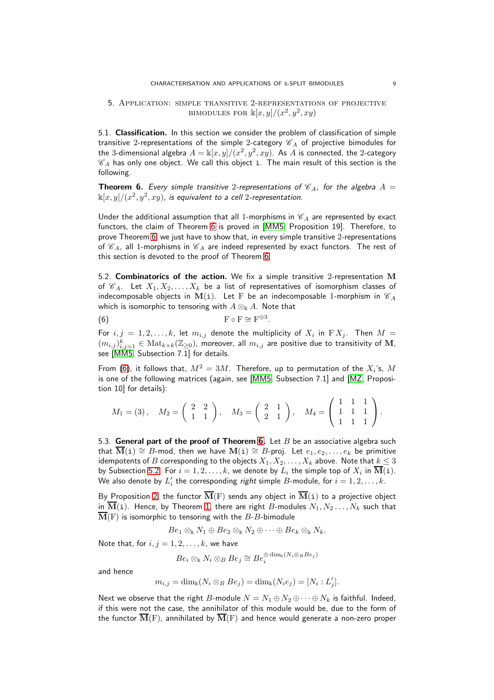## <span id="page-8-0"></span>5. Application: simple transitive 2-representations of projective BIMODULES FOR  $\mathbb{k}[x,y]/(x^2,y^2,xy)$

5.1. Classification. In this section we consider the problem of classification of simple transitive 2-representations of the simple 2-category  $\mathscr{C}_A$  of projective bimodules for the 3-dimensional algebra  $A = \Bbbk[x,y]/(x^2,y^2,xy).$  As  $A$  is connected, the 2-category  $\mathscr{C}_A$  has only one object. We call this object i. The main result of this section is the following.

<span id="page-8-1"></span>**Theorem 6.** Every simple transitive 2-representations of  $\mathcal{C}_A$ , for the algebra  $A =$  $\Bbbk [x,y]/(x^2,y^2,xy)$ , is equivalent to a cell 2-representation.

Under the additional assumption that all 1-morphisms in  $\mathcal{C}_A$  are represented by exact functors, the claim of Theorem [6](#page-8-1) is proved in [\[MM5,](#page-12-2) Proposition 19]. Therefore, to prove Theorem [6,](#page-8-1) we just have to show that, in every simple transitive 2-representations of  $\mathscr{C}_A$ , all 1-morphisms in  $\mathscr{C}_A$  are indeed represented by exact functors. The rest of this section is devoted to the proof of Theorem [6.](#page-8-1)

<span id="page-8-3"></span>5.2. **Combinatorics of the action.** We fix a simple transitive 2-representation M of  $\mathscr{C}_A$ . Let  $X_1, X_2, \ldots, X_k$  be a list of representatives of isomorphism classes of indecomposable objects in M(i). Let F be an indecomposable 1-morphism in  $\mathscr{C}_A$ which is isomorphic to tensoring with  $A \otimes_k A$ . Note that

<span id="page-8-2"></span>(6)  $\qquad \qquad \mathbf{F} \circ \mathbf{F} \cong \mathbf{F}^{\oplus 3}.$ 

For  $i,j~=~1,2,\ldots,k$ , let  $m_{i,j}$  denote the multiplicity of  $X_i$  in  $\mathrm{F}\, X_j.$  Then  $M~=~$  $(m_{i,j})_{i,j=1}^k \in \text{Mat}_{k \times k}(\mathbb{Z}_{\geq 0})$ , moreover, all  $m_{i,j}$  are positive due to transitivity of  $\mathbf{M}$ , see [\[MM5,](#page-12-2) Subsection 7.1] for details.

From [\(6\)](#page-8-2), it follows that,  $M^2 = 3M$ . Therefore, up to permutation of the  $X_i$ 's,  $M$ is one of the following matrices (again, see [\[MM5,](#page-12-2) Subsection 7.1] and [\[MZ,](#page-12-4) Proposition 10] for details):

$$
M_1 = (3), \quad M_2 = \begin{pmatrix} 2 & 2 \\ 1 & 1 \end{pmatrix}, \quad M_3 = \begin{pmatrix} 2 & 1 \\ 2 & 1 \end{pmatrix}, \quad M_4 = \begin{pmatrix} 1 & 1 & 1 \\ 1 & 1 & 1 \\ 1 & 1 & 1 \end{pmatrix}.
$$

5.3. General part of the proof of Theorem [6.](#page-8-1) Let  $B$  be an associative algebra such that  $\overline{\mathbf{M}}(i) \cong B$ -mod, then we have  $\mathbf{M}(i) \cong B$ -proj. Let  $e_1, e_2, \ldots, e_k$  be primitive idempotents of B corresponding to the objects  $X_1, X_2, \ldots, X_k$  above. Note that  $k \leq 3$ by Subsection [5.2.](#page-8-3) For  $i = 1, 2, \ldots, k$ , we denote by  $L_i$  the simple top of  $X_i$  in  $\overline{\mathbf{M}}(\mathtt{i})$ . We also denote by  $L'_i$  the corresponding *right* simple  $B$ -module, for  $i=1,2,\ldots,k.$ 

By Proposition [2,](#page-6-0) the functor  $\overline{\mathbf{M}}(\mathrm{F})$  sends any object in  $\overline{\mathbf{M}}(i)$  to a projective object in  $\overline{\mathbf{M}}(i)$ . Hence, by Theorem [1,](#page-1-0) there are right B-modules  $N_1, N_2 \ldots, N_k$  such that  $\overline{\mathbf{M}}(\mathrm{F})$  is isomorphic to tensoring with the B-B-bimodule

 $Be_1 \otimes_k N_1 \oplus Be_2 \otimes_k N_2 \oplus \cdots \oplus Be_k \otimes_k N_k.$ 

Note that, for  $i, j = 1, 2, \ldots, k$ , we have

$$
Be_i\otimes_{\Bbbk}N_i\otimes_BBe_j\cong Be_i^{\oplus \dim_{\Bbbk}(N_i\otimes_BBe_j)}
$$

and hence

$$
m_{i,j} = \dim_{\mathbb{k}}(N_i \otimes_B Be_j) = \dim_{\mathbb{k}}(N_i e_j) = [N_i : L'_j].
$$

Next we observe that the right B-module  $N = N_1 \oplus N_2 \oplus \cdots \oplus N_k$  is faithful. Indeed, if this were not the case, the annihilator of this module would be, due to the form of the functor  $\overline{\mathbf{M}}(F)$ , annihilated by  $\overline{\mathbf{M}}(F)$  and hence would generate a non-zero proper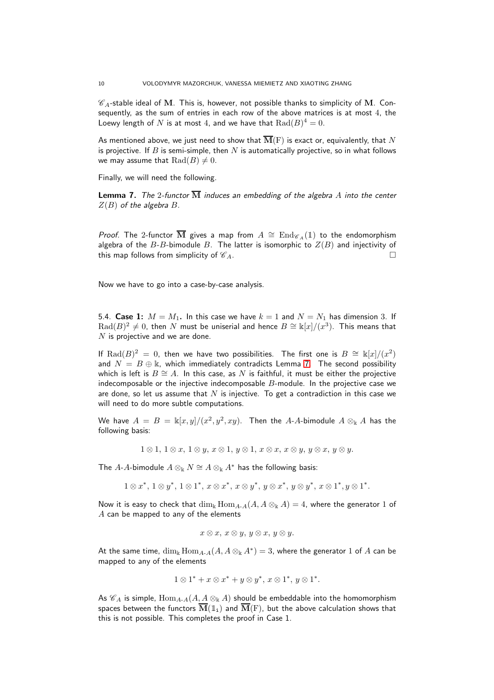$\mathscr{C}_A$ -stable ideal of M. This is, however, not possible thanks to simplicity of M. Consequently, as the sum of entries in each row of the above matrices is at most 4, the Loewy length of  $N$  is at most 4, and we have that  $\operatorname{Rad}(B)^4=0.$ 

As mentioned above, we just need to show that  $\overline{\mathbf{M}}(\mathrm{F})$  is exact or, equivalently, that  $N$ is projective. If B is semi-simple, then  $N$  is automatically projective, so in what follows we may assume that  $\text{Rad}(B) \neq 0$ .

Finally, we will need the following.

<span id="page-9-0"></span>**Lemma 7.** The 2-functor  $\overline{M}$  induces an embedding of the algebra A into the center  $Z(B)$  of the algebra  $B$ .

*Proof.* The 2-functor  $\overline{M}$  gives a map from  $A \cong \text{End}_{\mathscr{C}_A}(\mathbb{I})$  to the endomorphism algebra of the  $B$ -B-bimodule B. The latter is isomorphic to  $Z(B)$  and injectivity of this map follows from simplicity of  $\mathcal{C}_A$ .

Now we have to go into a case-by-case analysis.

5.4. Case 1:  $M = M_1$ . In this case we have  $k = 1$  and  $N = N_1$  has dimension 3. If  $\operatorname{Rad}(B)^2\neq 0,$  then  $N$  must be uniserial and hence  $B\cong \Bbbk[x]/(x^3).$  This means that  $N$  is projective and we are done.

If  $\text{Rad}(B)^2 = 0$ , then we have two possibilities. The first one is  $B \cong \mathbb{k}[x]/(x^2)$ and  $N = B \oplus \mathbb{k}$ , which immediately contradicts Lemma [7.](#page-9-0) The second possibility which is left is  $B \cong A$ . In this case, as N is faithful, it must be either the projective indecomposable or the injective indecomposable  $B$ -module. In the projective case we are done, so let us assume that N is injective. To get a contradiction in this case we will need to do more subtle computations.

We have  $A = B = \frac{k[x, y]/(x^2, y^2, xy)}{x^2 + y^2}$ . Then the A-A-bimodule  $A \otimes_k A$  has the following basis:

 $1 \otimes 1, 1 \otimes x, 1 \otimes y, x \otimes 1, y \otimes 1, x \otimes x, x \otimes y, y \otimes x, y \otimes y.$ 

The A-A-bimodule  $A \otimes_k N \cong A \otimes_k A^*$  has the following basis:

 $1 \otimes x^*$ ,  $1 \otimes y^*$ ,  $1 \otimes 1^*$ ,  $x \otimes x^*$ ,  $x \otimes y^*$ ,  $y \otimes x^*$ ,  $y \otimes y^*$ ,  $x \otimes 1^*$ ,  $y \otimes 1^*$ .

Now it is easy to check that  $\dim_k \text{Hom}_{A-A}(A, A \otimes_k A) = 4$ , where the generator 1 of A can be mapped to any of the elements

$$
x\otimes x,\ x\otimes y,\ y\otimes x,\ y\otimes y.
$$

At the same time,  $\dim_\Bbbk\mathrm{Hom}_{A\text{-}A}(A,A\otimes_\Bbbk A^*)=3,$  where the generator  $1$  of  $A$  can be mapped to any of the elements

$$
1\otimes 1^* + x\otimes x^* + y\otimes y^*, x\otimes 1^*, y\otimes 1^*.
$$

As  $\mathscr{C}_A$  is simple,  $\text{Hom}_{A-A}(A, A \otimes_{\Bbbk} A)$  should be embeddable into the homomorphism spaces between the functors  $\overline{\mathbf{M}}(\mathbb{1}_1)$  and  $\overline{\mathbf{M}}(\mathrm{F})$ , but the above calculation shows that this is not possible. This completes the proof in Case 1.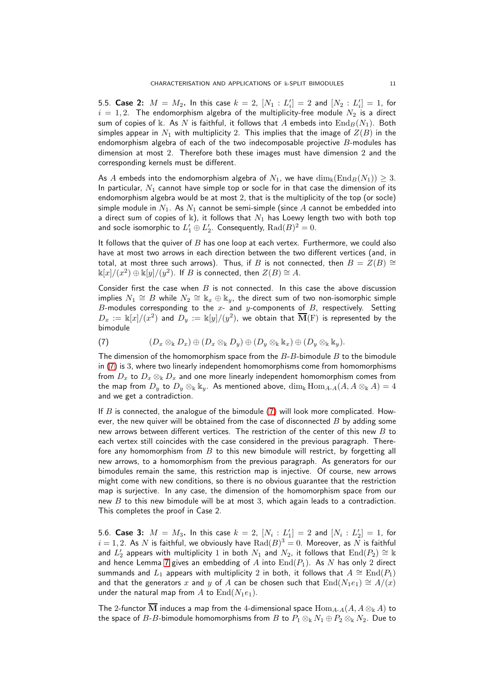5.5. Case 2:  $M = M_2$ . In this case  $k = 2$ ,  $[N_1 : L'_i] = 2$  and  $[N_2 : L'_i] = 1$ , for  $i = 1, 2$ . The endomorphism algebra of the multiplicity-free module  $N_2$  is a direct sum of copies of k. As N is faithful, it follows that A embeds into  $\text{End}_B(N_1)$ . Both simples appear in  $N_1$  with multiplicity 2. This implies that the image of  $Z(B)$  in the endomorphism algebra of each of the two indecomposable projective  $B$ -modules has dimension at most 2. Therefore both these images must have dimension 2 and the corresponding kernels must be different.

As A embeds into the endomorphism algebra of  $N_1$ , we have  $\dim_k(\operatorname{End}_B(N_1)) \geq 3$ . In particular,  $N_1$  cannot have simple top or socle for in that case the dimension of its endomorphism algebra would be at most 2, that is the multiplicity of the top (or socle) simple module in  $N_1$ . As  $N_1$  cannot be semi-simple (since A cannot be embedded into a direct sum of copies of k), it follows that  $N_1$  has Loewy length two with both top and socle isomorphic to  $L'_1 \oplus L'_2$ . Consequently,  $\operatorname{Rad}(B)^2=0$ .

It follows that the quiver of  $B$  has one loop at each vertex. Furthermore, we could also have at most two arrows in each direction between the two different vertices (and, in total, at most three such arrows). Thus, if B is not connected, then  $B = Z(B) \cong$  $\mathbb{k}[x]/(x^2) \oplus \mathbb{k}[y]/(y^2)$ . If  $B$  is connected, then  $Z(B) \cong A$ .

Consider first the case when  $B$  is not connected. In this case the above discussion implies  $N_1 \cong B$  while  $N_2 \cong \Bbbk_x \oplus \Bbbk_y$ , the direct sum of two non-isomorphic simple  $B$ -modules corresponding to the  $x$ - and  $y$ -components of  $B$ , respectively. Setting  $D_x := \Bbbk[x]/(x^2)$  and  $D_y := \Bbbk[y]/(y^2)$ , we obtain that  $\overline{\mathbf{M}}(\mathrm{F})$  is represented by the bimodule

<span id="page-10-0"></span>(7) 
$$
(D_x \otimes_{\mathbb{k}} D_x) \oplus (D_x \otimes_{\mathbb{k}} D_y) \oplus (D_y \otimes_{\mathbb{k}} \mathbb{k}_x) \oplus (D_y \otimes_{\mathbb{k}} \mathbb{k}_y).
$$

The dimension of the homomorphism space from the  $B$ - $B$ -bimodule  $B$  to the bimodule in [\(7\)](#page-10-0) is 3, where two linearly independent homomorphisms come from homomorphisms from  $D_x$  to  $D_x \otimes_{\Bbbk} D_x$  and one more linearly independent homomorphism comes from the map from  $D_y$  to  $D_y \otimes_{\Bbbk} \Bbbk_y$ . As mentioned above,  $\dim_{\Bbbk} \text{Hom}_{A-A}(A, A \otimes_{\Bbbk} A) = 4$ and we get a contradiction.

If  $B$  is connected, the analogue of the bimodule  $(7)$  will look more complicated. However, the new quiver will be obtained from the case of disconnected  $B$  by adding some new arrows between different vertices. The restriction of the center of this new  $B$  to each vertex still coincides with the case considered in the previous paragraph. Therefore any homomorphism from  $B$  to this new bimodule will restrict, by forgetting all new arrows, to a homomorphism from the previous paragraph. As generators for our bimodules remain the same, this restriction map is injective. Of course, new arrows might come with new conditions, so there is no obvious guarantee that the restriction map is surjective. In any case, the dimension of the homomorphism space from our new  $B$  to this new bimodule will be at most 3, which again leads to a contradiction. This completes the proof in Case 2.

5.6. Case 3:  $M = M_3$ . In this case  $k = 2$ ,  $[N_i : L'_1] = 2$  and  $[N_i : L'_2] = 1$ , for  $i=1,2.$  As  $N$  is faithful, we obviously have  $\operatorname{Rad}(B)^3=0.$  Moreover, as  $N$  is faithful and  $L'_2$  appears with multiplicity  $1$  in both  $N_1$  and  $N_2$ , it follows that  $\rm{End}(\overline{P_2})\cong \Bbbk$ and hence Lemma [7](#page-9-0) gives an embedding of  $A$  into  $\text{End}(P_1)$ . As  $N$  has only 2 direct summands and  $L_1$  appears with multiplicity 2 in both, it follows that  $A \cong \text{End}(P_1)$ and that the generators x and y of A can be chosen such that  $\text{End}(N_1e_1) \cong A/(x)$ under the natural map from A to  $\text{End}(N_1e_1)$ .

The 2-functor  $\overline{\mathbf{M}}$  induces a map from the 4-dimensional space  $\text{Hom}_{A-A}(A, A \otimes_{\mathbb{k}} A)$  to the space of B-B-bimodule homomorphisms from B to  $P_1 \otimes_k N_1 \oplus P_2 \otimes_k N_2$ . Due to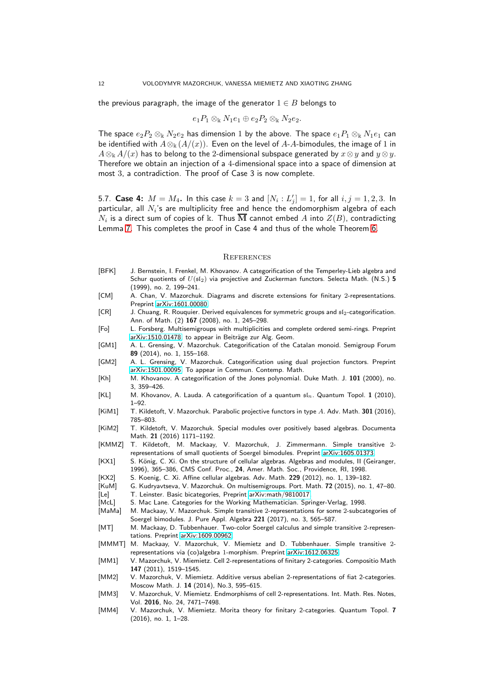the previous paragraph, the image of the generator  $1 \in B$  belongs to

$$
e_1P_1\otimes_{\Bbbk}N_1e_1\oplus e_2P_2\otimes_{\Bbbk}N_2e_2.
$$

The space  $e_2P_2 \otimes_k N_2e_2$  has dimension 1 by the above. The space  $e_1P_1 \otimes_k N_1e_1$  can be identified with  $A \otimes_k (A/(x))$ . Even on the level of A-A-bimodules, the image of 1 in  $A\otimes_{\Bbbk}A/(x)$  has to belong to the 2-dimensional subspace generated by  $x\otimes y$  and  $y\otimes y$ . Therefore we obtain an injection of a 4-dimensional space into a space of dimension at most 3, a contradiction. The proof of Case 3 is now complete.

5.7. Case 4:  $M = M_4$ . In this case  $k = 3$  and  $[N_i : L'_j] = 1$ , for all  $i, j = 1, 2, 3$ . In particular, all  $N_i$ 's are multiplicity free and hence the endomorphism algebra of each  $N_i$  is a direct sum of copies of  $\Bbbk$ . Thus  $\overline{\mathbf{M}}$  cannot embed  $A$  into  $Z(B)$ , contradicting Lemma [7.](#page-9-0) This completes the proof in Case 4 and thus of the whole Theorem [6.](#page-8-1)

#### **REFERENCES**

- <span id="page-11-0"></span>[BFK] J. Bernstein, I. Frenkel, M. Khovanov. A categorification of the Temperley-Lieb algebra and Schur quotients of  $U(\mathfrak{sl}_2)$  via projective and Zuckerman functors. Selecta Math. (N.S.) 5 (1999), no. 2, 199–241.
- <span id="page-11-19"></span>[CM] A. Chan, V. Mazorchuk. Diagrams and discrete extensions for finitary 2-representations. Preprint [arXiv:1601.00080.](http://arxiv.org/abs/1601.00080)

<span id="page-11-2"></span> $[CR]$  J. Chuang, R. Rouquier. Derived equivalences for symmetric groups and  $sI_2$ -categorification. Ann. of Math. (2) 167 (2008), no. 1, 245–298.

- <span id="page-11-20"></span>[Fo] L. Forsberg. Multisemigroups with multiplicities and complete ordered semi-rings. Preprint [arXiv:1510.01478,](http://arxiv.org/abs/1510.01478) to appear in Beiträge zur Alg. Geom.
- <span id="page-11-12"></span>[GM1] A. L. Grensing, V. Mazorchuk. Categorification of the Catalan monoid. Semigroup Forum 89 (2014), no. 1, 155–168.
- <span id="page-11-13"></span>[GM2] A. L. Grensing, V. Mazorchuk. Categorification using dual projection functors. Preprint [arXiv:1501.00095.](http://arxiv.org/abs/1501.00095) To appear in Commun. Contemp. Math.
- <span id="page-11-1"></span>[Kh] M. Khovanov. A categorification of the Jones polynomial. Duke Math. J. 101 (2000), no. 3, 359–426.
- <span id="page-11-3"></span>[KL] M. Khovanov, A. Lauda. A categorification of a quantum  $s<sub>ln</sub>$ . Quantum Topol. 1 (2010), 1–92.
- <span id="page-11-11"></span>[KiM1] T. Kildetoft, V. Mazorchuk. Parabolic projective functors in type A. Adv. Math. 301 (2016), 785–803.
- <span id="page-11-6"></span>[KiM2] T. Kildetoft, V. Mazorchuk. Special modules over positively based algebras. Documenta Math. 21 (2016) 1171–1192.
- <span id="page-11-7"></span>[KMMZ] T. Kildetoft, M. Mackaay, V. Mazorchuk, J. Zimmermann. Simple transitive 2 representations of small quotients of Soergel bimodules. Preprint [arXiv:1605.01373.](http://arxiv.org/abs/1605.01373)
- <span id="page-11-22"></span>[KX1] S. König, C. Xi. On the structure of cellular algebras. Algebras and modules, II (Geiranger, 1996), 365–386, CMS Conf. Proc., 24, Amer. Math. Soc., Providence, RI, 1998.
- <span id="page-11-21"></span>[KX2] S. Koenig, C. Xi. Affine cellular algebras. Adv. Math. 229 (2012), no. 1, 139–182.<br>[KuM] G. Kudryavtseva, V. Mazorchuk. On multisemigroups. Port. Math. 72 (2015), no. 1
- <span id="page-11-17"></span>G. Kudryavtseva, V. Mazorchuk. On multisemigroups. Port. Math. 72 (2015), no. 1, 47–80. [Le] T. Leinster. Basic bicategories, Preprint [arXiv:math/9810017.](http://arxiv.org/abs/math/9810017)
- <span id="page-11-15"></span><span id="page-11-14"></span>[McL] S. Mac Lane. Categories for the Working Mathematician. Springer-Verlag, 1998.
- <span id="page-11-8"></span>[MaMa] M. Mackaay, V. Mazorchuk. Simple transitive 2-representations for some 2-subcategories of Soergel bimodules. J. Pure Appl. Algebra 221 (2017), no. 3, 565–587.
- <span id="page-11-9"></span>[MT] M. Mackaay, D. Tubbenhauer. Two-color Soergel calculus and simple transitive 2-representations. Preprint [arXiv:1609.00962.](http://arxiv.org/abs/1609.00962)
- <span id="page-11-10"></span>[MMMT] M. Mackaay, V. Mazorchuk, V. Miemietz and D. Tubbenhauer. Simple transitive 2 representations via (co)algebra 1-morphism. Preprint [arXiv:1612.06325.](http://arxiv.org/abs/1612.06325)
- <span id="page-11-4"></span>[MM1] V. Mazorchuk, V. Miemietz. Cell 2-representations of finitary 2-categories. Compositio Math 147 (2011), 1519–1545.
- <span id="page-11-16"></span>[MM2] V. Mazorchuk, V. Miemietz. Additive versus abelian 2-representations of fiat 2-categories. Moscow Math. J. 14 (2014), No.3, 595–615.
- <span id="page-11-5"></span>[MM3] V. Mazorchuk, V. Miemietz. Endmorphisms of cell 2-representations. Int. Math. Res. Notes, Vol. 2016, No. 24, 7471–7498.
- <span id="page-11-18"></span>[MM4] V. Mazorchuk, V. Miemietz. Morita theory for finitary 2-categories. Quantum Topol. 7 (2016), no. 1, 1–28.